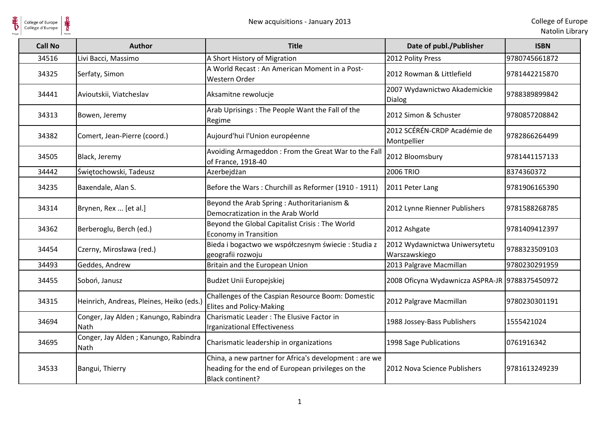$\frac{1}{\frac{1}{\sqrt{2}}}\sum_{\text{National}}$ 

| <b>Call No</b> | <b>Author</b>                                       | <b>Title</b>                                                                                                                    | Date of publ./Publisher                        | <b>ISBN</b>   |
|----------------|-----------------------------------------------------|---------------------------------------------------------------------------------------------------------------------------------|------------------------------------------------|---------------|
| 34516          | Livi Bacci, Massimo                                 | A Short History of Migration                                                                                                    | 2012 Polity Press                              | 9780745661872 |
| 34325          | Serfaty, Simon                                      | A World Recast: An American Moment in a Post-<br>Western Order                                                                  | 2012 Rowman & Littlefield                      | 9781442215870 |
| 34441          | Avioutskii, Viatcheslav                             | Aksamitne rewolucje                                                                                                             | 2007 Wydawnictwo Akademickie<br><b>Dialog</b>  | 9788389899842 |
| 34313          | Bowen, Jeremy                                       | Arab Uprisings: The People Want the Fall of the<br>Regime                                                                       | 2012 Simon & Schuster                          | 9780857208842 |
| 34382          | Comert, Jean-Pierre (coord.)                        | Aujourd'hui l'Union européenne                                                                                                  | 2012 SCÉRÉN-CRDP Académie de<br>Montpellier    | 9782866264499 |
| 34505          | Black, Jeremy                                       | Avoiding Armageddon: From the Great War to the Fall<br>of France, 1918-40                                                       | 2012 Bloomsbury                                | 9781441157133 |
| 34442          | Świętochowski, Tadeusz                              | Azerbejdżan                                                                                                                     | <b>2006 TRIO</b>                               | 8374360372    |
| 34235          | Baxendale, Alan S.                                  | Before the Wars: Churchill as Reformer (1910 - 1911)                                                                            | 2011 Peter Lang                                | 9781906165390 |
| 34314          | Brynen, Rex  [et al.]                               | Beyond the Arab Spring : Authoritarianism &<br>Democratization in the Arab World                                                | 2012 Lynne Rienner Publishers                  | 9781588268785 |
| 34362          | Berberoglu, Berch (ed.)                             | Beyond the Global Capitalist Crisis: The World<br><b>Economy in Transition</b>                                                  | 2012 Ashgate                                   | 9781409412397 |
| 34454          | Czerny, Mirosława (red.)                            | Bieda i bogactwo we współczesnym świecie : Studia z<br>geografii rozwoju                                                        | 2012 Wydawnictwa Uniwersytetu<br>Warszawskiego | 9788323509103 |
| 34493          | Geddes, Andrew                                      | Britain and the European Union                                                                                                  | 2013 Palgrave Macmillan                        | 9780230291959 |
| 34455          | Soboń, Janusz                                       | Budżet Unii Europejskiej                                                                                                        | 2008 Oficyna Wydawnicza ASPRA-JR 9788375450972 |               |
| 34315          | Heinrich, Andreas, Pleines, Heiko (eds.             | Challenges of the Caspian Resource Boom: Domestic<br><b>Elites and Policy-Making</b>                                            | 2012 Palgrave Macmillan                        | 9780230301191 |
| 34694          | Conger, Jay Alden; Kanungo, Rabindra<br><b>Nath</b> | Charismatic Leader: The Elusive Factor in<br>Irganizational Effectiveness                                                       | 1988 Jossey-Bass Publishers                    | 1555421024    |
| 34695          | Conger, Jay Alden; Kanungo, Rabindra<br>Nath        | Charismatic leadership in organizations                                                                                         | 1998 Sage Publications                         | 0761916342    |
| 34533          | Bangui, Thierry                                     | China, a new partner for Africa's development : are we<br>heading for the end of European privileges on the<br>Black continent? | 2012 Nova Science Publishers                   | 9781613249239 |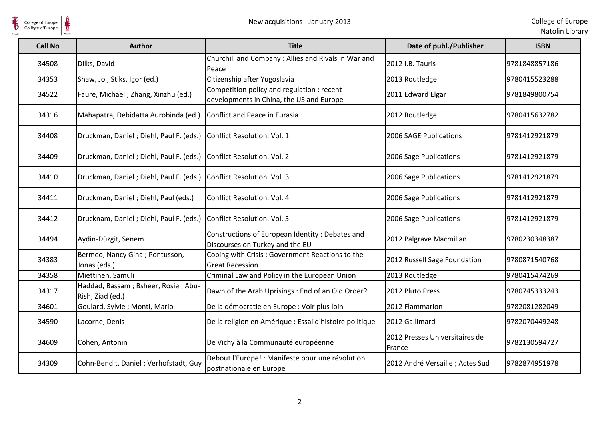Collège d'Europe

| Natolin Library |  |  |
|-----------------|--|--|
|                 |  |  |

| <b>Call No</b> | <b>Author</b>                                           | <b>Title</b>                                                                           | Date of publ./Publisher                  | <b>ISBN</b>   |
|----------------|---------------------------------------------------------|----------------------------------------------------------------------------------------|------------------------------------------|---------------|
| 34508          | Dilks, David                                            | Churchill and Company: Allies and Rivals in War and<br>Peace                           | 2012 I.B. Tauris                         | 9781848857186 |
| 34353          | Shaw, Jo; Stiks, Igor (ed.)                             | Citizenship after Yugoslavia                                                           | 2013 Routledge                           | 9780415523288 |
| 34522          | Faure, Michael; Zhang, Xinzhu (ed.)                     | Competition policy and regulation : recent<br>developments in China, the US and Europe | 2011 Edward Elgar                        | 9781849800754 |
| 34316          | Mahapatra, Debidatta Aurobinda (ed.)                    | Conflict and Peace in Eurasia                                                          | 2012 Routledge                           | 9780415632782 |
| 34408          | Druckman, Daniel; Diehl, Paul F. (eds.)                 | Conflict Resolution. Vol. 1                                                            | 2006 SAGE Publications                   | 9781412921879 |
| 34409          | Druckman, Daniel; Diehl, Paul F. (eds.)                 | Conflict Resolution. Vol. 2                                                            | 2006 Sage Publications                   | 9781412921879 |
| 34410          | Druckman, Daniel; Diehl, Paul F. (eds.)                 | Conflict Resolution. Vol. 3                                                            | 2006 Sage Publications                   | 9781412921879 |
| 34411          | Druckman, Daniel; Diehl, Paul (eds.)                    | Conflict Resolution. Vol. 4                                                            | 2006 Sage Publications                   | 9781412921879 |
| 34412          | Drucknam, Daniel; Diehl, Paul F. (eds.)                 | Conflict Resolution. Vol. 5                                                            | 2006 Sage Publications                   | 9781412921879 |
| 34494          | Aydin-Düzgit, Senem                                     | Constructions of European Identity: Debates and<br>Discourses on Turkey and the EU     | 2012 Palgrave Macmillan                  | 9780230348387 |
| 34383          | Bermeo, Nancy Gina; Pontusson,<br>Jonas (eds.)          | Coping with Crisis: Government Reactions to the<br><b>Great Recession</b>              | 2012 Russell Sage Foundation             | 9780871540768 |
| 34358          | Miettinen, Samuli                                       | Criminal Law and Policy in the European Union                                          | 2013 Routledge                           | 9780415474269 |
| 34317          | Haddad, Bassam; Bsheer, Rosie; Abu-<br>Rish, Ziad (ed.) | Dawn of the Arab Uprisings: End of an Old Order?                                       | 2012 Pluto Press                         | 9780745333243 |
| 34601          | Goulard, Sylvie; Monti, Mario                           | De la démocratie en Europe : Voir plus loin                                            | 2012 Flammarion                          | 9782081282049 |
| 34590          | Lacorne, Denis                                          | De la religion en Amérique : Essai d'histoire politique                                | 2012 Gallimard                           | 9782070449248 |
| 34609          | Cohen, Antonin                                          | De Vichy à la Communauté européenne                                                    | 2012 Presses Universitaires de<br>France | 9782130594727 |
| 34309          | Cohn-Bendit, Daniel; Verhofstadt, Guy                   | Debout l'Europe! : Manifeste pour une révolution<br>postnationale en Europe            | 2012 André Versaille ; Actes Sud         | 9782874951978 |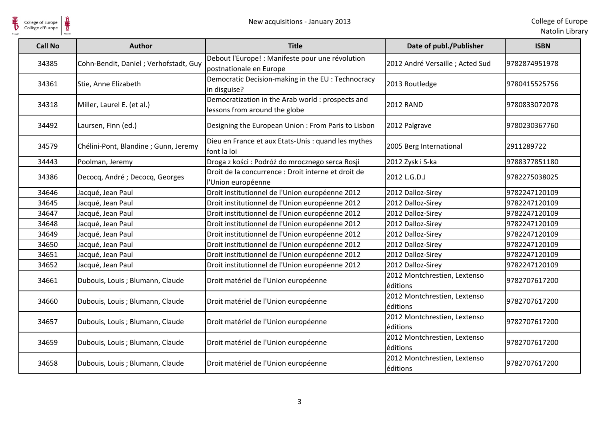| <b>Call No</b> | <b>Author</b>                         | <b>Title</b>                                                                       | Date of publ./Publisher                  | <b>ISBN</b>   |
|----------------|---------------------------------------|------------------------------------------------------------------------------------|------------------------------------------|---------------|
| 34385          | Cohn-Bendit, Daniel; Verhofstadt, Guy | Debout l'Europe! : Manifeste pour une révolution<br>postnationale en Europe        | 2012 André Versaille ; Acted Sud         | 9782874951978 |
| 34361          | Stie, Anne Elizabeth                  | Democratic Decision-making in the EU: Technocracy<br>in disguise?                  | 2013 Routledge                           | 9780415525756 |
| 34318          | Miller, Laurel E. (et al.)            | Democratization in the Arab world : prospects and<br>lessons from around the globe | <b>2012 RAND</b>                         | 9780833072078 |
| 34492          | Laursen, Finn (ed.)                   | Designing the European Union: From Paris to Lisbon                                 | 2012 Palgrave                            | 9780230367760 |
| 34579          | Chélini-Pont, Blandine ; Gunn, Jeremy | Dieu en France et aux Etats-Unis : quand les mythes<br>font la loi                 | 2005 Berg International                  | 2911289722    |
| 34443          | Poolman, Jeremy                       | Droga z kości : Podróż do mrocznego serca Rosji                                    | 2012 Zysk i S-ka                         | 9788377851180 |
| 34386          | Decocq, André; Decocq, Georges        | Droit de la concurrence : Droit interne et droit de<br>l'Union européenne          | 2012 L.G.D.J                             | 9782275038025 |
| 34646          | Jacqué, Jean Paul                     | Droit institutionnel de l'Union européenne 2012                                    | 2012 Dalloz-Sirey                        | 9782247120109 |
| 34645          | Jacqué, Jean Paul                     | Droit institutionnel de l'Union européenne 2012                                    | 2012 Dalloz-Sirey                        | 9782247120109 |
| 34647          | Jacqué, Jean Paul                     | Droit institutionnel de l'Union européenne 2012                                    | 2012 Dalloz-Sirey                        | 9782247120109 |
| 34648          | Jacqué, Jean Paul                     | Droit institutionnel de l'Union européenne 2012                                    | 2012 Dalloz-Sirey                        | 9782247120109 |
| 34649          | Jacqué, Jean Paul                     | Droit institutionnel de l'Union européenne 2012                                    | 2012 Dalloz-Sirey                        | 9782247120109 |
| 34650          | Jacqué, Jean Paul                     | Droit institutionnel de l'Union européenne 2012                                    | 2012 Dalloz-Sirey                        | 9782247120109 |
| 34651          | Jacqué, Jean Paul                     | Droit institutionnel de l'Union européenne 2012                                    | 2012 Dalloz-Sirey                        | 9782247120109 |
| 34652          | Jacqué, Jean Paul                     | Droit institutionnel de l'Union européenne 2012                                    | 2012 Dalloz-Sirey                        | 9782247120109 |
| 34661          | Dubouis, Louis ; Blumann, Claude      | Droit matériel de l'Union européenne                                               | 2012 Montchrestien, Lextenso<br>éditions | 9782707617200 |
| 34660          | Dubouis, Louis ; Blumann, Claude      | Droit matériel de l'Union européenne                                               | 2012 Montchrestien, Lextenso<br>éditions | 9782707617200 |
| 34657          | Dubouis, Louis ; Blumann, Claude      | Droit matériel de l'Union européenne                                               | 2012 Montchrestien, Lextenso<br>éditions | 9782707617200 |
| 34659          | Dubouis, Louis; Blumann, Claude       | Droit matériel de l'Union européenne                                               | 2012 Montchrestien, Lextenso<br>éditions | 9782707617200 |
| 34658          | Dubouis, Louis; Blumann, Claude       | Droit matériel de l'Union européenne                                               | 2012 Montchrestien, Lextenso<br>éditions | 9782707617200 |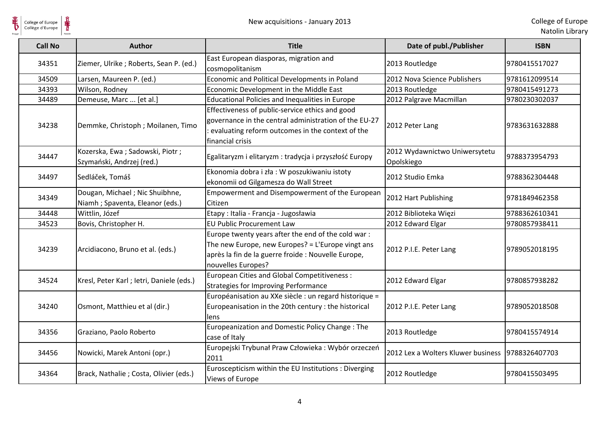| College of Europe<br>Collège d'Europe |                                                                   | New acquisitions - January 2013                                                                                                                                                      |                                             | College of Europ<br>Natolin Librar |
|---------------------------------------|-------------------------------------------------------------------|--------------------------------------------------------------------------------------------------------------------------------------------------------------------------------------|---------------------------------------------|------------------------------------|
| <b>Call No</b>                        | Author                                                            | <b>Title</b>                                                                                                                                                                         | Date of publ./Publisher                     | <b>ISBN</b>                        |
| 34351                                 | Ziemer, Ulrike; Roberts, Sean P. (ed.)                            | East European diasporas, migration and<br>cosmopolitanism                                                                                                                            | 2013 Routledge                              | 9780415517027                      |
| 34509                                 | Larsen, Maureen P. (ed.)                                          | Economic and Political Developments in Poland                                                                                                                                        | 2012 Nova Science Publishers                | 9781612099514                      |
| 34393                                 | Wilson, Rodney                                                    | Economic Development in the Middle East                                                                                                                                              | 2013 Routledge                              | 9780415491273                      |
| 34489                                 | Demeuse, Marc  [et al.]                                           | <b>Educational Policies and Inequalities in Europe</b>                                                                                                                               | 2012 Palgrave Macmillan                     | 9780230302037                      |
| 34238                                 | Demmke, Christoph; Moilanen, Timo                                 | Effectiveness of public-service ethics and good<br>governance in the central administration of the EU-27<br>evaluating reform outcomes in the context of the<br>financial crisis     | 2012 Peter Lang                             | 9783631632888                      |
| 34447                                 | Kozerska, Ewa; Sadowski, Piotr;<br>Szymański, Andrzej (red.)      | Egalitaryzm i elitaryzm : tradycja i przyszłość Europy                                                                                                                               | 2012 Wydawnictwo Uniwersytetu<br>Opolskiego | 9788373954793                      |
| 34497                                 | Sedláček, Tomáš                                                   | Ekonomia dobra i zła: W poszukiwaniu istoty<br>ekonomii od Gilgamesza do Wall Street                                                                                                 | 2012 Studio Emka                            | 9788362304448                      |
| 34349                                 | Dougan, Michael; Nic Shuibhne,<br>Niamh; Spaventa, Eleanor (eds.) | Empowerment and Disempowerment of the European<br>Citizen                                                                                                                            | 2012 Hart Publishing                        | 9781849462358                      |
| 34448                                 | Wittlin, Józef                                                    | Etapy: Italia - Francja - Jugosławia                                                                                                                                                 | 2012 Biblioteka Więzi                       | 9788362610341                      |
| 34523                                 | Bovis, Christopher H.                                             | <b>EU Public Procurement Law</b>                                                                                                                                                     | 2012 Edward Elgar                           | 9780857938411                      |
| 34239                                 | Arcidiacono, Bruno et al. (eds.)                                  | Europe twenty years after the end of the cold war:<br>The new Europe, new Europes? = L'Europe vingt ans<br>après la fin de la guerre froide : Nouvelle Europe,<br>nouvelles Europes? | 2012 P.I.E. Peter Lang                      | 9789052018195                      |
| 34524                                 | Kresl, Peter Karl; letri, Daniele (eds.)                          | European Cities and Global Competitiveness :<br><b>Strategies for Improving Performance</b>                                                                                          | 2012 Edward Elgar                           | 9780857938282                      |
| 34240                                 | Osmont, Matthieu et al (dir.)                                     | Européanisation au XXe siècle : un regard historique =<br>Europeanisation in the 20th century : the historical<br>lens                                                               | 2012 P.I.E. Peter Lang                      | 9789052018508                      |
| 34356                                 | Graziano, Paolo Roberto                                           | Europeanization and Domestic Policy Change: The<br>case of Italy                                                                                                                     | 2013 Routledge                              | 9780415574914                      |
| 34456                                 | Nowicki, Marek Antoni (opr.)                                      | Europejski Trybunał Praw Człowieka: Wybór orzeczeń<br>2011                                                                                                                           | 2012 Lex a Wolters Kluwer business          | 9788326407703                      |
| 34364                                 | Brack, Nathalie; Costa, Olivier (eds.)                            | Euroscepticism within the EU Institutions : Diverging<br>Views of Europe                                                                                                             | 2012 Routledge                              | 9780415503495                      |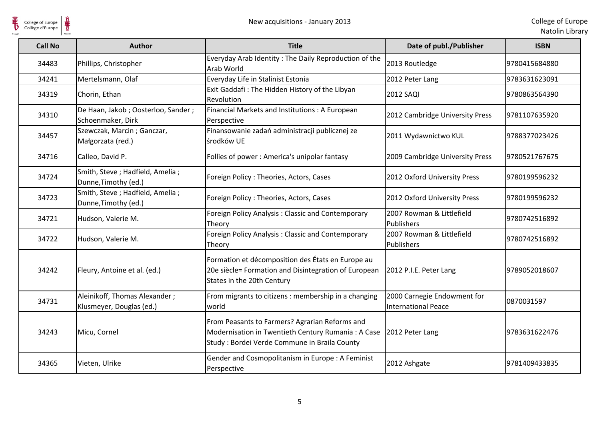$\frac{1}{\frac{1}{\sqrt{2}}}\sum_{\text{National}}$ 

| <b>Call No</b> | <b>Author</b>                                             | <b>Title</b>                                                                                                                                         | Date of publ./Publisher                            | <b>ISBN</b>   |
|----------------|-----------------------------------------------------------|------------------------------------------------------------------------------------------------------------------------------------------------------|----------------------------------------------------|---------------|
| 34483          | Phillips, Christopher                                     | Everyday Arab Identity: The Daily Reproduction of the<br>Arab World                                                                                  | 2013 Routledge                                     | 9780415684880 |
| 34241          | Mertelsmann, Olaf                                         | Everyday Life in Stalinist Estonia                                                                                                                   | 2012 Peter Lang                                    | 9783631623091 |
| 34319          | Chorin, Ethan                                             | Exit Gaddafi: The Hidden History of the Libyan<br>Revolution                                                                                         | <b>2012 SAQI</b>                                   | 9780863564390 |
| 34310          | De Haan, Jakob; Oosterloo, Sander;<br>Schoenmaker, Dirk   | Financial Markets and Institutions: A European<br>Perspective                                                                                        | 2012 Cambridge University Press                    | 9781107635920 |
| 34457          | Szewczak, Marcin; Ganczar,<br>Małgorzata (red.)           | Finansowanie zadań administracji publicznej ze<br>środków UE                                                                                         | 2011 Wydawnictwo KUL                               | 9788377023426 |
| 34716          | Calleo, David P.                                          | Follies of power: America's unipolar fantasy                                                                                                         | 2009 Cambridge University Press                    | 9780521767675 |
| 34724          | Smith, Steve; Hadfield, Amelia;<br>Dunne, Timothy (ed.)   | Foreign Policy: Theories, Actors, Cases                                                                                                              | 2012 Oxford University Press                       | 9780199596232 |
| 34723          | Smith, Steve ; Hadfield, Amelia ;<br>Dunne, Timothy (ed.) | Foreign Policy: Theories, Actors, Cases                                                                                                              | 2012 Oxford University Press                       | 9780199596232 |
| 34721          | Hudson, Valerie M.                                        | Foreign Policy Analysis: Classic and Contemporary<br>Theory                                                                                          | 2007 Rowman & Littlefield<br>Publishers            | 9780742516892 |
| 34722          | Hudson, Valerie M.                                        | Foreign Policy Analysis: Classic and Contemporary<br>Theory                                                                                          | 2007 Rowman & Littlefield<br>Publishers            | 9780742516892 |
| 34242          | Fleury, Antoine et al. (ed.)                              | Formation et décomposition des États en Europe au<br>20e siècle= Formation and Disintegration of European<br>States in the 20th Century              | 2012 P.I.E. Peter Lang                             | 9789052018607 |
| 34731          | Aleinikoff, Thomas Alexander;<br>Klusmeyer, Douglas (ed.) | From migrants to citizens : membership in a changing<br>world                                                                                        | 2000 Carnegie Endowment for<br>International Peace | 0870031597    |
| 34243          | Micu, Cornel                                              | From Peasants to Farmers? Agrarian Reforms and<br>Modernisation in Twentieth Century Rumania: A Case<br>Study: Bordei Verde Commune in Braila County | 2012 Peter Lang                                    | 9783631622476 |
| 34365          | Vieten, Ulrike                                            | Gender and Cosmopolitanism in Europe: A Feminist<br>Perspective                                                                                      | 2012 Ashgate                                       | 9781409433835 |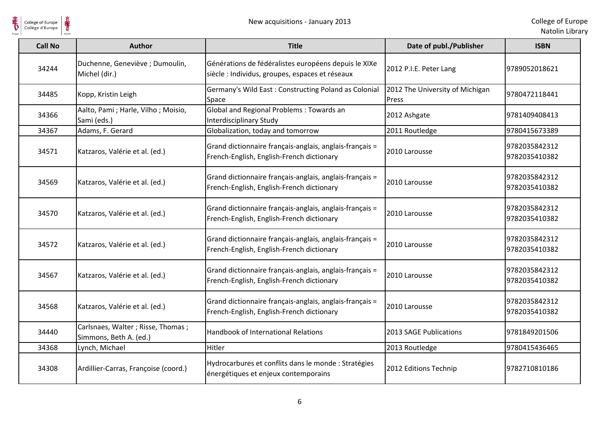| $\frac{1}{2}$<br>College of Europe<br>Collège d'Europe |                                                             | New acquisitions - January 2013                                                                         |                                          | College of Europ<br>Natolin Librar |
|--------------------------------------------------------|-------------------------------------------------------------|---------------------------------------------------------------------------------------------------------|------------------------------------------|------------------------------------|
| <b>Call No</b>                                         | <b>Author</b>                                               | <b>Title</b>                                                                                            | Date of publ./Publisher                  | <b>ISBN</b>                        |
| 34244                                                  | Duchenne, Geneviève ; Dumoulin,<br>Michel (dir.)            | Générations de fédéralistes européens depuis le XIXe<br>siècle : Individus, groupes, espaces et réseaux | 2012 P.I.E. Peter Lang                   | 9789052018621                      |
| 34485                                                  | Kopp, Kristin Leigh                                         | Germany's Wild East: Constructing Poland as Colonial<br>Space                                           | 2012 The University of Michigan<br>Press | 9780472118441                      |
| 34366                                                  | Aalto, Pami ; Harle, Vilho ; Moisio,<br>Sami (eds.)         | Global and Regional Problems: Towards an<br>Interdisciplinary Study                                     | 2012 Ashgate                             | 9781409408413                      |
| 34367                                                  | Adams, F. Gerard                                            | Globalization, today and tomorrow                                                                       | 2011 Routledge                           | 9780415673389                      |
| 34571                                                  | Katzaros, Valérie et al. (ed.)                              | Grand dictionnaire français-anglais, anglais-français =<br>French-English, English-French dictionary    | 2010 Larousse                            | 9782035842312<br>9782035410382     |
| 34569                                                  | Katzaros, Valérie et al. (ed.)                              | Grand dictionnaire français-anglais, anglais-français =<br>French-English, English-French dictionary    | 2010 Larousse                            | 9782035842312<br>9782035410382     |
| 34570                                                  | Katzaros, Valérie et al. (ed.)                              | Grand dictionnaire français-anglais, anglais-français =<br>French-English, English-French dictionary    | 2010 Larousse                            | 9782035842312<br>9782035410382     |
| 34572                                                  | Katzaros, Valérie et al. (ed.)                              | Grand dictionnaire français-anglais, anglais-français =<br>French-English, English-French dictionary    | 2010 Larousse                            | 9782035842312<br>9782035410382     |
| 34567                                                  | Katzaros, Valérie et al. (ed.)                              | Grand dictionnaire français-anglais, anglais-français =<br>French-English, English-French dictionary    | 2010 Larousse                            | 9782035842312<br>9782035410382     |
| 34568                                                  | Katzaros, Valérie et al. (ed.)                              | Grand dictionnaire français-anglais, anglais-français =<br>French-English, English-French dictionary    | 2010 Larousse                            | 9782035842312<br>9782035410382     |
| 34440                                                  | Carlsnaes, Walter; Risse, Thomas;<br>Simmons, Beth A. (ed.) | Handbook of International Relations                                                                     | 2013 SAGE Publications                   | 9781849201506                      |
| 34368                                                  | Lynch, Michael                                              | <b>Hitler</b>                                                                                           | 2013 Routledge                           | 9780415436465                      |
| 34308                                                  | Ardillier-Carras, Françoise (coord.)                        | Hydrocarbures et conflits dans le monde : Stratégies<br>énergétiques et enjeux contemporains            | 2012 Editions Technip                    | 9782710810186                      |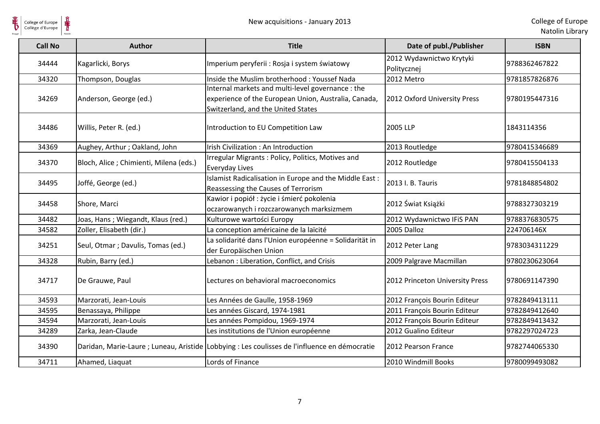$\frac{1}{\frac{1}{\sqrt{2}}}\sum_{\text{National}}$ 

| <b>Call No</b> | <b>Author</b>                           | <b>Title</b>                                                                                                                                    | Date of publ./Publisher                 | <b>ISBN</b>   |
|----------------|-----------------------------------------|-------------------------------------------------------------------------------------------------------------------------------------------------|-----------------------------------------|---------------|
| 34444          | Kagarlicki, Borys                       | Imperium peryferii : Rosja i system światowy                                                                                                    | 2012 Wydawnictwo Krytyki<br>Politycznej | 9788362467822 |
| 34320          | Thompson, Douglas                       | Inside the Muslim brotherhood: Youssef Nada                                                                                                     | 2012 Metro                              | 9781857826876 |
| 34269          | Anderson, George (ed.)                  | Internal markets and multi-level governance : the<br>experience of the European Union, Australia, Canada,<br>Switzerland, and the United States | 2012 Oxford University Press            | 9780195447316 |
| 34486          | Willis, Peter R. (ed.)                  | Introduction to EU Competition Law                                                                                                              | 2005 LLP                                | 1843114356    |
| 34369          | Aughey, Arthur; Oakland, John           | Irish Civilization: An Introduction                                                                                                             | 2013 Routledge                          | 9780415346689 |
| 34370          | Bloch, Alice ; Chimienti, Milena (eds.) | Irregular Migrants: Policy, Politics, Motives and<br><b>Everyday Lives</b>                                                                      | 2012 Routledge                          | 9780415504133 |
| 34495          | Joffé, George (ed.)                     | Islamist Radicalisation in Europe and the Middle East:<br>Reassessing the Causes of Terrorism                                                   | 2013 I. B. Tauris                       | 9781848854802 |
| 34458          | Shore, Marci                            | Kawior i popiół: życie i śmierć pokolenia<br>oczarowanych i rozczarowanych marksizmem                                                           | 2012 Świat Książki                      | 9788327303219 |
| 34482          | Joas, Hans; Wiegandt, Klaus (red.)      | Kulturowe wartości Europy                                                                                                                       | 2012 Wydawnictwo IFiS PAN               | 9788376830575 |
| 34582          | Zoller, Elisabeth (dir.)                | La conception américaine de la laïcité                                                                                                          | 2005 Dalloz                             | 224706146X    |
| 34251          | Seul, Otmar ; Davulis, Tomas (ed.)      | La solidarité dans l'Union européenne = Solidarität in<br>der Europäischen Union                                                                | 2012 Peter Lang                         | 9783034311229 |
| 34328          | Rubin, Barry (ed.)                      | Lebanon: Liberation, Conflict, and Crisis                                                                                                       | 2009 Palgrave Macmillan                 | 9780230623064 |
| 34717          | De Grauwe, Paul                         | Lectures on behavioral macroeconomics                                                                                                           | 2012 Princeton University Press         | 9780691147390 |
| 34593          | Marzorati, Jean-Louis                   | Les Années de Gaulle, 1958-1969                                                                                                                 | 2012 François Bourin Editeur            | 9782849413111 |
| 34595          | Benassaya, Philippe                     | Les années Giscard, 1974-1981                                                                                                                   | 2011 François Bourin Editeur            | 9782849412640 |
| 34594          | Marzorati, Jean-Louis                   | Les années Pompidou, 1969-1974                                                                                                                  | 2012 François Bourin Editeur            | 9782849413432 |
| 34289          | Zarka, Jean-Claude                      | Les institutions de l'Union européenne                                                                                                          | 2012 Gualino Editeur                    | 9782297024723 |
| 34390          |                                         | Daridan, Marie-Laure ; Luneau, Aristide Lobbying : Les coulisses de l'influence en démocratie                                                   | 2012 Pearson France                     | 9782744065330 |
| 34711          | Ahamed, Liaquat                         | Lords of Finance                                                                                                                                | 2010 Windmill Books                     | 9780099493082 |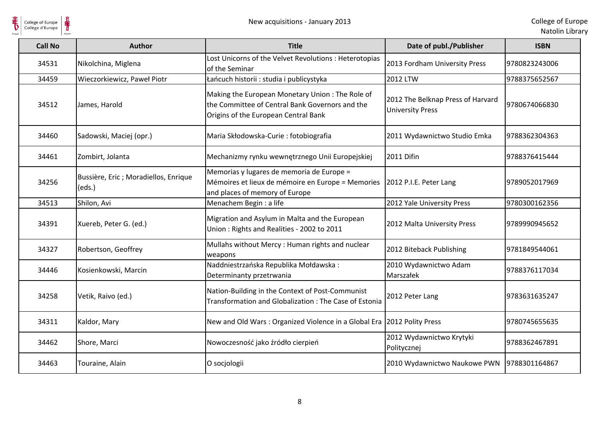$\frac{1}{\frac{1}{\sqrt{2}}}\sum_{\text{National}}$ 

| <b>Call No</b> | <b>Author</b>                                   | <b>Title</b>                                                                                                                               | Date of publ./Publisher                                      | <b>ISBN</b>   |
|----------------|-------------------------------------------------|--------------------------------------------------------------------------------------------------------------------------------------------|--------------------------------------------------------------|---------------|
| 34531          | Nikolchina, Miglena                             | Lost Unicorns of the Velvet Revolutions : Heterotopias<br>of the Seminar                                                                   | 2013 Fordham University Press                                | 9780823243006 |
| 34459          | Wieczorkiewicz, Paweł Piotr                     | Łańcuch historii : studia i publicystyka                                                                                                   | 2012 LTW                                                     | 9788375652567 |
| 34512          | James, Harold                                   | Making the European Monetary Union: The Role of<br>the Committee of Central Bank Governors and the<br>Origins of the European Central Bank | 2012 The Belknap Press of Harvard<br><b>University Press</b> | 9780674066830 |
| 34460          | Sadowski, Maciej (opr.)                         | Maria Skłodowska-Curie : fotobiografia                                                                                                     | 2011 Wydawnictwo Studio Emka                                 | 9788362304363 |
| 34461          | Zombirt, Jolanta                                | Mechanizmy rynku wewnętrznego Unii Europejskiej                                                                                            | 2011 Difin                                                   | 9788376415444 |
| 34256          | Bussière, Eric ; Moradiellos, Enrique<br>(eds.) | Memorias y lugares de memoria de Europe =<br>Mémoires et lieux de mémoire en Europe = Memories<br>and places of memory of Europe           | 2012 P.I.E. Peter Lang                                       | 9789052017969 |
| 34513          | Shilon, Avi                                     | Menachem Begin : a life                                                                                                                    | 2012 Yale University Press                                   | 9780300162356 |
| 34391          | Xuereb, Peter G. (ed.)                          | Migration and Asylum in Malta and the European<br>Union: Rights and Realities - 2002 to 2011                                               | 2012 Malta University Press                                  | 9789990945652 |
| 34327          | Robertson, Geoffrey                             | Mullahs without Mercy: Human rights and nuclear<br>weapons                                                                                 | 2012 Biteback Publishing                                     | 9781849544061 |
| 34446          | Kosienkowski, Marcin                            | Naddniestrzańska Republika Mołdawska:<br>Determinanty przetrwania                                                                          | 2010 Wydawnictwo Adam<br>Marszałek                           | 9788376117034 |
| 34258          | Vetik, Raivo (ed.)                              | Nation-Building in the Context of Post-Communist<br>Transformation and Globalization: The Case of Estonia                                  | 2012 Peter Lang                                              | 9783631635247 |
| 34311          | Kaldor, Mary                                    | New and Old Wars: Organized Violence in a Global Era                                                                                       | 2012 Polity Press                                            | 9780745655635 |
| 34462          | Shore, Marci                                    | Nowoczesność jako źródło cierpień                                                                                                          | 2012 Wydawnictwo Krytyki<br>Politycznej                      | 9788362467891 |
| 34463          | Touraine, Alain                                 | O socjologii                                                                                                                               | 2010 Wydawnictwo Naukowe PWN                                 | 9788301164867 |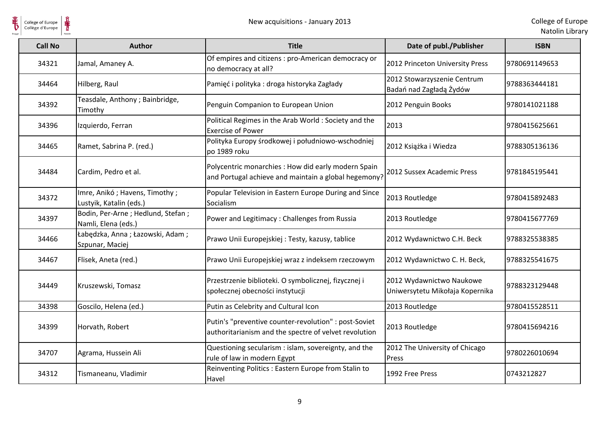

| College of Europe<br>Collège d'Europe |                                                          | New acquisitions - January 2013                                                                                |                                                             | College of Europe<br>Natolin Library |
|---------------------------------------|----------------------------------------------------------|----------------------------------------------------------------------------------------------------------------|-------------------------------------------------------------|--------------------------------------|
| <b>Call No</b>                        | <b>Author</b>                                            | <b>Title</b>                                                                                                   | Date of publ./Publisher                                     | <b>ISBN</b>                          |
| 34321                                 | Jamal, Amaney A.                                         | Of empires and citizens : pro-American democracy or<br>no democracy at all?                                    | 2012 Princeton University Press                             | 9780691149653                        |
| 34464                                 | Hilberg, Raul                                            | Pamięć i polityka: droga historyka Zagłady                                                                     | 2012 Stowarzyszenie Centrum<br>Badań nad Zagładą Żydów      | 9788363444181                        |
| 34392                                 | Teasdale, Anthony; Bainbridge,<br>Timothy                | Penguin Companion to European Union                                                                            | 2012 Penguin Books                                          | 9780141021188                        |
| 34396                                 | Izquierdo, Ferran                                        | Political Regimes in the Arab World: Society and the<br><b>Exercise of Power</b>                               | 2013                                                        | 9780415625661                        |
| 34465                                 | Ramet, Sabrina P. (red.)                                 | Polityka Europy środkowej i południowo-wschodniej<br>po 1989 roku                                              | 2012 Książka i Wiedza                                       | 9788305136136                        |
| 34484                                 | Cardim, Pedro et al.                                     | Polycentric monarchies : How did early modern Spain<br>and Portugal achieve and maintain a global hegemony?    | 2012 Sussex Academic Press                                  | 9781845195441                        |
| 34372                                 | Imre, Anikó; Havens, Timothy;<br>Lustyik, Katalin (eds.) | Popular Television in Eastern Europe During and Since<br>Socialism                                             | 2013 Routledge                                              | 9780415892483                        |
| 34397                                 | Bodin, Per-Arne; Hedlund, Stefan;<br>Namli, Elena (eds.) | Power and Legitimacy: Challenges from Russia                                                                   | 2013 Routledge                                              | 9780415677769                        |
| 34466                                 | Łabędzka, Anna; Łazowski, Adam;<br>Szpunar, Maciej       | Prawo Unii Europejskiej: Testy, kazusy, tablice                                                                | 2012 Wydawnictwo C.H. Beck                                  | 9788325538385                        |
| 34467                                 | Flisek, Aneta (red.)                                     | Prawo Unii Europejskiej wraz z indeksem rzeczowym                                                              | 2012 Wydawnictwo C. H. Beck,                                | 9788325541675                        |
| 34449                                 | Kruszewski, Tomasz                                       | Przestrzenie biblioteki. O symbolicznej, fizycznej i<br>społecznej obecności instytucji                        | 2012 Wydawnictwo Naukowe<br>Uniwersytetu Mikołaja Kopernika | 9788323129448                        |
| 34398                                 | Goscilo, Helena (ed.)                                    | Putin as Celebrity and Cultural Icon                                                                           | 2013 Routledge                                              | 9780415528511                        |
| 34399                                 | Horvath, Robert                                          | Putin's "preventive counter-revolution" : post-Soviet<br>authoritarianism and the spectre of velvet revolution | 2013 Routledge                                              | 9780415694216                        |
| 34707                                 | Agrama, Hussein Ali                                      | Questioning secularism : islam, sovereignty, and the<br>rule of law in modern Egypt                            | 2012 The University of Chicago<br>Press                     | 9780226010694                        |
| 34312                                 | Tismaneanu, Vladimir                                     | Reinventing Politics : Eastern Europe from Stalin to<br>Havel                                                  | 1992 Free Press                                             | 0743212827                           |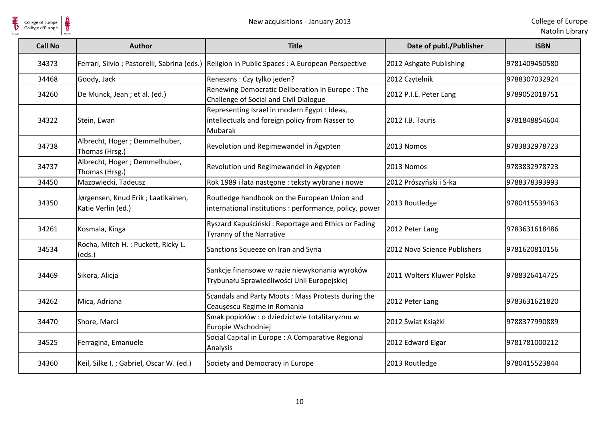$\frac{1}{\frac{1}{\sqrt{2}}}}$ 

| <b>Call No</b> | <b>Author</b>                                             | <b>Title</b>                                                                                                      | Date of publ./Publisher      | <b>ISBN</b>   |
|----------------|-----------------------------------------------------------|-------------------------------------------------------------------------------------------------------------------|------------------------------|---------------|
| 34373          |                                                           | Ferrari, Silvio ; Pastorelli, Sabrina (eds.) Religion in Public Spaces : A European Perspective                   | 2012 Ashgate Publishing      | 9781409450580 |
| 34468          | Goody, Jack                                               | Renesans : Czy tylko jeden?                                                                                       | 2012 Czytelnik               | 9788307032924 |
| 34260          | De Munck, Jean; et al. (ed.)                              | Renewing Democratic Deliberation in Europe: The<br>Challenge of Social and Civil Dialogue                         | 2012 P.I.E. Peter Lang       | 9789052018751 |
| 34322          | Stein, Ewan                                               | Representing Israel in modern Egypt : Ideas,<br>intellectuals and foreign policy from Nasser to<br><b>Mubarak</b> | 2012 I.B. Tauris             | 9781848854604 |
| 34738          | Albrecht, Hoger; Demmelhuber,<br>Thomas (Hrsg.)           | Revolution und Regimewandel in Ägypten                                                                            | 2013 Nomos                   | 9783832978723 |
| 34737          | Albrecht, Hoger ; Demmelhuber,<br>Thomas (Hrsg.)          | Revolution und Regimewandel in Ägypten                                                                            | 2013 Nomos                   | 9783832978723 |
| 34450          | Mazowiecki, Tadeusz                                       | Rok 1989 i lata następne : teksty wybrane i nowe                                                                  | 2012 Prószyński i S-ka       | 9788378393993 |
| 34350          | Jørgensen, Knud Erik ; Laatikainen,<br>Katie Verlin (ed.) | Routledge handbook on the European Union and<br>international institutions : performance, policy, power           | 2013 Routledge               | 9780415539463 |
| 34261          | Kosmala, Kinga                                            | Ryszard Kapuściński: Reportage and Ethics or Fading<br>Tyranny of the Narrative                                   | 2012 Peter Lang              | 9783631618486 |
| 34534          | Rocha, Mitch H. : Puckett, Ricky L.<br>(eds.)             | Sanctions Squeeze on Iran and Syria                                                                               | 2012 Nova Science Publishers | 9781620810156 |
| 34469          | Sikora, Alicja                                            | Sankcje finansowe w razie niewykonania wyroków<br>Trybunału Sprawiedliwości Unii Europejskiej                     | 2011 Wolters Kluwer Polska   | 9788326414725 |
| 34262          | Mica, Adriana                                             | Scandals and Party Moots: Mass Protests during the<br>Ceauşescu Regime in Romania                                 | 2012 Peter Lang              | 9783631621820 |
| 34470          | Shore, Marci                                              | Smak popiołów : o dziedzictwie totalitaryzmu w<br>Europie Wschodniej                                              | 2012 Świat Książki           | 9788377990889 |
| 34525          | Ferragina, Emanuele                                       | Social Capital in Europe : A Comparative Regional<br>Analysis                                                     | 2012 Edward Elgar            | 9781781000212 |
| 34360          | Keil, Silke I.; Gabriel, Oscar W. (ed.)                   | Society and Democracy in Europe                                                                                   | 2013 Routledge               | 9780415523844 |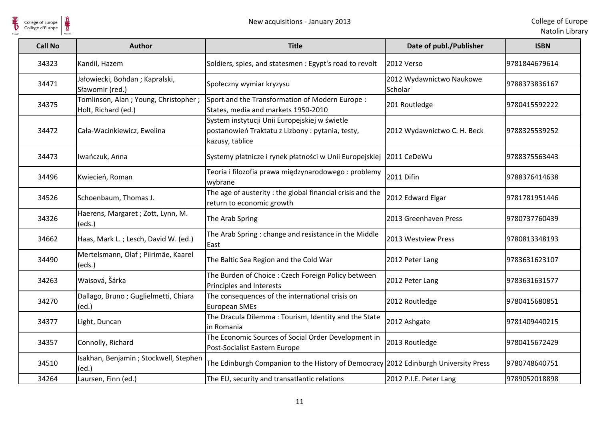$\frac{1}{\frac{1}{\sqrt{2}}}}$ 

| <b>Call No</b> | <b>Author</b>                                               | <b>Title</b>                                                                                                        | Date of publ./Publisher             | <b>ISBN</b>   |
|----------------|-------------------------------------------------------------|---------------------------------------------------------------------------------------------------------------------|-------------------------------------|---------------|
| 34323          | Kandil, Hazem                                               | Soldiers, spies, and statesmen : Egypt's road to revolt                                                             | 2012 Verso                          | 9781844679614 |
| 34471          | Jałowiecki, Bohdan; Kapralski,<br>Sławomir (red.)           | Społeczny wymiar kryzysu                                                                                            | 2012 Wydawnictwo Naukowe<br>Scholar | 9788373836167 |
| 34375          | Tomlinson, Alan; Young, Christopher;<br>Holt, Richard (ed.) | Sport and the Transformation of Modern Europe:<br>States, media and markets 1950-2010                               | 201 Routledge                       | 9780415592222 |
| 34472          | Cała-Wacinkiewicz, Ewelina                                  | System instytucji Unii Europejskiej w świetle<br>postanowień Traktatu z Lizbony: pytania, testy,<br>kazusy, tablice | 2012 Wydawnictwo C. H. Beck         | 9788325539252 |
| 34473          | Iwańczuk, Anna                                              | Systemy płatnicze i rynek płatności w Unii Europejskiej                                                             | 2011 CeDeWu                         | 9788375563443 |
| 34496          | Kwiecień, Roman                                             | Teoria i filozofia prawa międzynarodowego : problemy<br>wybrane                                                     | 2011 Difin                          | 9788376414638 |
| 34526          | Schoenbaum, Thomas J.                                       | The age of austerity: the global financial crisis and the<br>return to economic growth                              | 2012 Edward Elgar                   | 9781781951446 |
| 34326          | Haerens, Margaret ; Zott, Lynn, M.<br>(eds.)                | The Arab Spring                                                                                                     | 2013 Greenhaven Press               | 9780737760439 |
| 34662          | Haas, Mark L.; Lesch, David W. (ed.)                        | The Arab Spring: change and resistance in the Middle<br>East                                                        | 2013 Westview Press                 | 9780813348193 |
| 34490          | Mertelsmann, Olaf ; Piirimäe, Kaarel<br>(eds.)              | The Baltic Sea Region and the Cold War                                                                              | 2012 Peter Lang                     | 9783631623107 |
| 34263          | Waisová, Šárka                                              | The Burden of Choice: Czech Foreign Policy between<br>Principles and Interests                                      | 2012 Peter Lang                     | 9783631631577 |
| 34270          | Dallago, Bruno; Guglielmetti, Chiara<br>(ed.)               | The consequences of the international crisis on<br><b>European SMEs</b>                                             | 2012 Routledge                      | 9780415680851 |
| 34377          | Light, Duncan                                               | The Dracula Dilemma: Tourism, Identity and the State<br>in Romania                                                  | 2012 Ashgate                        | 9781409440215 |
| 34357          | Connolly, Richard                                           | The Economic Sources of Social Order Development in<br>Post-Socialist Eastern Europe                                | 2013 Routledge                      | 9780415672429 |
| 34510          | Isakhan, Benjamin; Stockwell, Stephen<br>(ed.)              | The Edinburgh Companion to the History of Democracy 2012 Edinburgh University Press                                 |                                     | 9780748640751 |
| 34264          | Laursen, Finn (ed.)                                         | The EU, security and transatlantic relations                                                                        | 2012 P.I.E. Peter Lang              | 9789052018898 |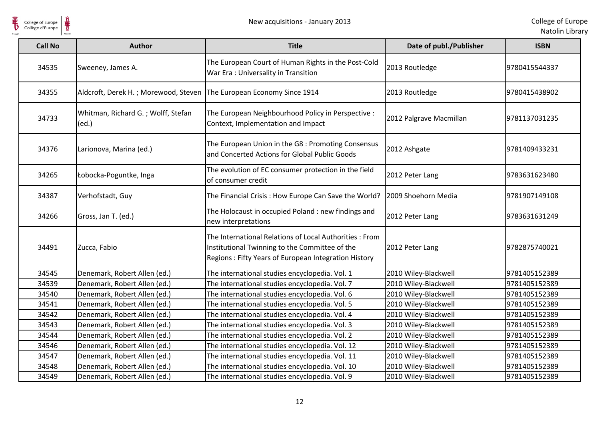

 $\frac{1}{\frac{1}{\sqrt{2}}}}$ 

| <b>Call No</b> | <b>Author</b>                               | <b>Title</b>                                                                                                                                                     | Date of publ./Publisher | <b>ISBN</b>   |
|----------------|---------------------------------------------|------------------------------------------------------------------------------------------------------------------------------------------------------------------|-------------------------|---------------|
| 34535          | Sweeney, James A.                           | The European Court of Human Rights in the Post-Cold<br>War Era: Universality in Transition                                                                       | 2013 Routledge          | 9780415544337 |
| 34355          | Aldcroft, Derek H.; Morewood, Steven        | The European Economy Since 1914                                                                                                                                  | 2013 Routledge          | 9780415438902 |
| 34733          | Whitman, Richard G.; Wolff, Stefan<br>(ed.) | The European Neighbourhood Policy in Perspective :<br>Context, Implementation and Impact                                                                         | 2012 Palgrave Macmillan | 9781137031235 |
| 34376          | Larionova, Marina (ed.)                     | The European Union in the G8 : Promoting Consensus<br>and Concerted Actions for Global Public Goods                                                              | 2012 Ashgate            | 9781409433231 |
| 34265          | Łobocka-Poguntke, Inga                      | The evolution of EC consumer protection in the field<br>of consumer credit                                                                                       | 2012 Peter Lang         | 9783631623480 |
| 34387          | Verhofstadt, Guy                            | The Financial Crisis: How Europe Can Save the World?                                                                                                             | 2009 Shoehorn Media     | 9781907149108 |
| 34266          | Gross, Jan T. (ed.)                         | The Holocaust in occupied Poland : new findings and<br>new interpretations                                                                                       | 2012 Peter Lang         | 9783631631249 |
| 34491          | Zucca, Fabio                                | The International Relations of Local Authorities: From<br>Institutional Twinning to the Committee of the<br>Regions: Fifty Years of European Integration History | 2012 Peter Lang         | 9782875740021 |
| 34545          | Denemark, Robert Allen (ed.)                | The international studies encyclopedia. Vol. 1                                                                                                                   | 2010 Wiley-Blackwell    | 9781405152389 |
| 34539          | Denemark, Robert Allen (ed.)                | The international studies encyclopedia. Vol. 7                                                                                                                   | 2010 Wiley-Blackwell    | 9781405152389 |
| 34540          | Denemark, Robert Allen (ed.)                | The international studies encyclopedia. Vol. 6                                                                                                                   | 2010 Wiley-Blackwell    | 9781405152389 |
| 34541          | Denemark, Robert Allen (ed.)                | The international studies encyclopedia. Vol. 5                                                                                                                   | 2010 Wiley-Blackwell    | 9781405152389 |
| 34542          | Denemark, Robert Allen (ed.)                | The international studies encyclopedia. Vol. 4                                                                                                                   | 2010 Wiley-Blackwell    | 9781405152389 |
| 34543          | Denemark, Robert Allen (ed.)                | The international studies encyclopedia. Vol. 3                                                                                                                   | 2010 Wiley-Blackwell    | 9781405152389 |
| 34544          | Denemark, Robert Allen (ed.)                | The international studies encyclopedia. Vol. 2                                                                                                                   | 2010 Wiley-Blackwell    | 9781405152389 |
| 34546          | Denemark, Robert Allen (ed.)                | The international studies encyclopedia. Vol. 12                                                                                                                  | 2010 Wiley-Blackwell    | 9781405152389 |
| 34547          | Denemark, Robert Allen (ed.)                | The international studies encyclopedia. Vol. 11                                                                                                                  | 2010 Wiley-Blackwell    | 9781405152389 |
| 34548          | Denemark, Robert Allen (ed.)                | The international studies encyclopedia. Vol. 10                                                                                                                  | 2010 Wiley-Blackwell    | 9781405152389 |
| 34549          | Denemark, Robert Allen (ed.)                | The international studies encyclopedia. Vol. 9                                                                                                                   | 2010 Wiley-Blackwell    | 9781405152389 |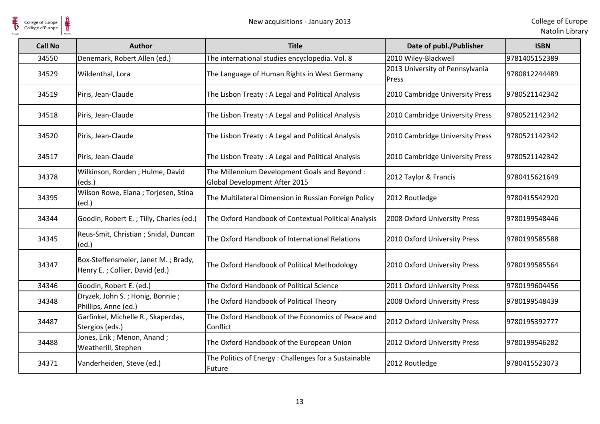$\frac{1}{\frac{1}{\sqrt{2}}}\sum_{\text{National}}$ 

| <b>Call No</b> | Author                                                                | <b>Title</b>                                                                  | Date of publ./Publisher                  | <b>ISBN</b>   |
|----------------|-----------------------------------------------------------------------|-------------------------------------------------------------------------------|------------------------------------------|---------------|
| 34550          | Denemark, Robert Allen (ed.)                                          | The international studies encyclopedia. Vol. 8                                | 2010 Wiley-Blackwell                     | 9781405152389 |
| 34529          | Wildenthal, Lora                                                      | The Language of Human Rights in West Germany                                  | 2013 University of Pennsylvania<br>Press | 9780812244489 |
| 34519          | Piris, Jean-Claude                                                    | The Lisbon Treaty: A Legal and Political Analysis                             | 2010 Cambridge University Press          | 9780521142342 |
| 34518          | Piris, Jean-Claude                                                    | The Lisbon Treaty: A Legal and Political Analysis                             | 2010 Cambridge University Press          | 9780521142342 |
| 34520          | Piris, Jean-Claude                                                    | The Lisbon Treaty: A Legal and Political Analysis                             | 2010 Cambridge University Press          | 9780521142342 |
| 34517          | Piris, Jean-Claude                                                    | The Lisbon Treaty: A Legal and Political Analysis                             | 2010 Cambridge University Press          | 9780521142342 |
| 34378          | Wilkinson, Rorden; Hulme, David<br>(eds.)                             | The Millennium Development Goals and Beyond:<br>Global Development After 2015 | 2012 Taylor & Francis                    | 9780415621649 |
| 34395          | Wilson Rowe, Elana; Torjesen, Stina<br>(ed.)                          | The Multilateral Dimension in Russian Foreign Policy                          | 2012 Routledge                           | 9780415542920 |
| 34344          | Goodin, Robert E.; Tilly, Charles (ed.)                               | The Oxford Handbook of Contextual Political Analysis                          | 2008 Oxford University Press             | 9780199548446 |
| 34345          | Reus-Smit, Christian ; Snidal, Duncan<br>(ed.)                        | The Oxford Handbook of International Relations                                | 2010 Oxford University Press             | 9780199585588 |
| 34347          | Box-Steffensmeier, Janet M.; Brady,<br>Henry E.; Collier, David (ed.) | The Oxford Handbook of Political Methodology                                  | 2010 Oxford University Press             | 9780199585564 |
| 34346          | Goodin, Robert E. (ed.)                                               | The Oxford Handbook of Political Science                                      | 2011 Oxford University Press             | 9780199604456 |
| 34348          | Dryzek, John S.; Honig, Bonnie;<br>Phillips, Anne (ed.)               | The Oxford Handbook of Political Theory                                       | 2008 Oxford University Press             | 9780199548439 |
| 34487          | Garfinkel, Michelle R., Skaperdas,<br>Stergios (eds.)                 | The Oxford Handbook of the Economics of Peace and<br>Conflict                 | 2012 Oxford University Press             | 9780195392777 |
| 34488          | Jones, Erik; Menon, Anand;<br>Weatherill, Stephen                     | The Oxford Handbook of the European Union                                     | 2012 Oxford University Press             | 9780199546282 |
| 34371          | Vanderheiden, Steve (ed.)                                             | The Politics of Energy: Challenges for a Sustainable<br>Future                | 2012 Routledge                           | 9780415523073 |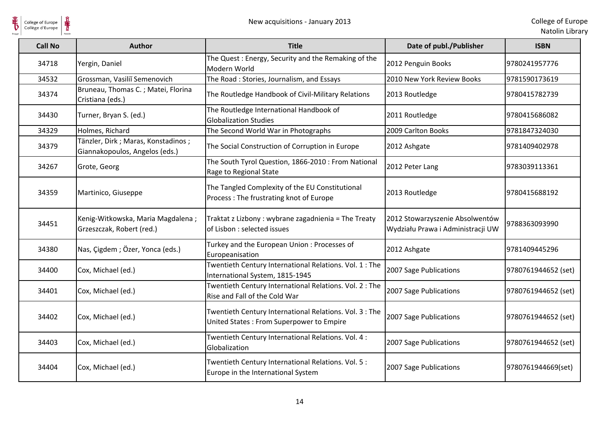$\frac{1}{\frac{1}{\sqrt{2}}}}$ 

| <b>Call No</b> | <b>Author</b>                                                        | <b>Title</b>                                                                                        | Date of publ./Publisher                                              | <b>ISBN</b>         |
|----------------|----------------------------------------------------------------------|-----------------------------------------------------------------------------------------------------|----------------------------------------------------------------------|---------------------|
| 34718          | Yergin, Daniel                                                       | The Quest: Energy, Security and the Remaking of the<br>Modern World                                 | 2012 Penguin Books                                                   | 9780241957776       |
| 34532          | Grossman, Vasiliĭ Semenovich                                         | The Road: Stories, Journalism, and Essays                                                           | 2010 New York Review Books                                           | 9781590173619       |
| 34374          | Bruneau, Thomas C.; Matei, Florina<br>Cristiana (eds.)               | The Routledge Handbook of Civil-Military Relations                                                  | 2013 Routledge                                                       | 9780415782739       |
| 34430          | Turner, Bryan S. (ed.)                                               | The Routledge International Handbook of<br><b>Globalization Studies</b>                             | 2011 Routledge                                                       | 9780415686082       |
| 34329          | Holmes, Richard                                                      | The Second World War in Photographs                                                                 | 2009 Carlton Books                                                   | 9781847324030       |
| 34379          | Tänzler, Dirk; Maras, Konstadinos;<br>Giannakopoulos, Angelos (eds.) | The Social Construction of Corruption in Europe                                                     | 2012 Ashgate                                                         | 9781409402978       |
| 34267          | Grote, Georg                                                         | The South Tyrol Question, 1866-2010 : From National<br>Rage to Regional State                       | 2012 Peter Lang                                                      | 9783039113361       |
| 34359          | Martinico, Giuseppe                                                  | The Tangled Complexity of the EU Constitutional<br>Process: The frustrating knot of Europe          | 2013 Routledge                                                       | 9780415688192       |
| 34451          | Kenig-Witkowska, Maria Magdalena;<br>Grzeszczak, Robert (red.)       | Traktat z Lizbony : wybrane zagadnienia = The Treaty<br>of Lisbon : selected issues                 | 2012 Stowarzyszenie Absolwentów<br>Wydziału Prawa i Administracji UW | 9788363093990       |
| 34380          | Nas, Çigdem; Özer, Yonca (eds.)                                      | Turkey and the European Union: Processes of<br>Europeanisation                                      | 2012 Ashgate                                                         | 9781409445296       |
| 34400          | Cox, Michael (ed.)                                                   | Twentieth Century International Relations. Vol. 1: The<br>International System, 1815-1945           | 2007 Sage Publications                                               | 9780761944652 (set) |
| 34401          | Cox, Michael (ed.)                                                   | Twentieth Century International Relations. Vol. 2: The<br>Rise and Fall of the Cold War             | 2007 Sage Publications                                               | 9780761944652 (set) |
| 34402          | Cox, Michael (ed.)                                                   | Twentieth Century International Relations. Vol. 3 : The<br>United States: From Superpower to Empire | 2007 Sage Publications                                               | 9780761944652 (set) |
| 34403          | Cox, Michael (ed.)                                                   | Twentieth Century International Relations. Vol. 4 :<br>Globalization                                | 2007 Sage Publications                                               | 9780761944652 (set) |
| 34404          | Cox, Michael (ed.)                                                   | Twentieth Century International Relations. Vol. 5 :<br>Europe in the International System           | 2007 Sage Publications                                               | 9780761944669(set)  |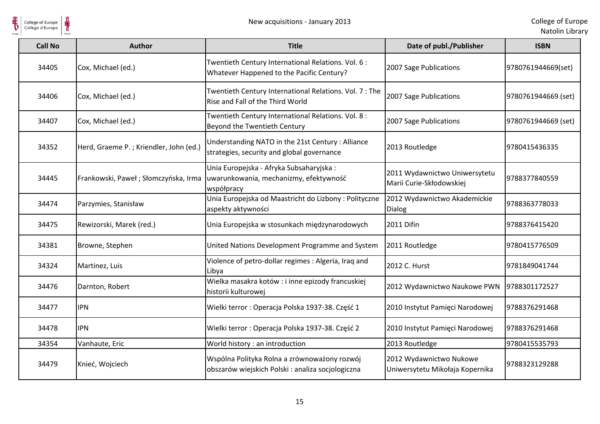| College of Europe<br>Collège d'Europe |                                        | New acquisitions - January 2013                                                                   |                                                            | College of Europ<br>Natolin Librar |
|---------------------------------------|----------------------------------------|---------------------------------------------------------------------------------------------------|------------------------------------------------------------|------------------------------------|
| <b>Call No</b>                        | <b>Author</b>                          | <b>Title</b>                                                                                      | Date of publ./Publisher                                    | <b>ISBN</b>                        |
| 34405                                 | Cox, Michael (ed.)                     | Twentieth Century International Relations. Vol. 6:<br>Whatever Happened to the Pacific Century?   | 2007 Sage Publications                                     | 9780761944669(set)                 |
| 34406                                 | Cox, Michael (ed.)                     | Twentieth Century International Relations. Vol. 7: The<br>Rise and Fall of the Third World        | 2007 Sage Publications                                     | 9780761944669 (set)                |
| 34407                                 | Cox, Michael (ed.)                     | Twentieth Century International Relations. Vol. 8 :<br>Beyond the Twentieth Century               | 2007 Sage Publications                                     | 9780761944669 (set)                |
| 34352                                 | Herd, Graeme P.; Kriendler, John (ed.) | Understanding NATO in the 21st Century : Alliance<br>strategies, security and global governance   | 2013 Routledge                                             | 9780415436335                      |
| 34445                                 | Frankowski, Paweł; Słomczyńska, Irma   | Unia Europejska - Afryka Subsaharyjska:<br>uwarunkowania, mechanizmy, efektywność<br>współpracy   | 2011 Wydawnictwo Uniwersytetu<br>Marii Curie-Skłodowskiej  | 9788377840559                      |
| 34474                                 | Parzymies, Stanisław                   | Unia Europejska od Maastricht do Lizbony: Polityczne<br>aspekty aktywności                        | 2012 Wydawnictwo Akademickie<br>Dialog                     | 9788363778033                      |
| 34475                                 | Rewizorski, Marek (red.)               | Unia Europejska w stosunkach międzynarodowych                                                     | 2011 Difin                                                 | 19788376415420                     |
| 34381                                 | Browne, Stephen                        | United Nations Development Programme and System                                                   | 2011 Routledge                                             | 9780415776509                      |
| 34324                                 | Martinez, Luis                         | Violence of petro-dollar regimes : Algeria, Iraq and<br>Libya                                     | 2012 C. Hurst                                              | 9781849041744                      |
| 34476                                 | Darnton, Robert                        | Wielka masakra kotów : i inne epizody francuskiej<br>historii kulturowej                          | 2012 Wydawnictwo Naukowe PWN                               | 9788301172527                      |
| 34477                                 | <b>IPN</b>                             | Wielki terror: Operacja Polska 1937-38. Część 1                                                   | 2010 Instytut Pamięci Narodowej                            | 9788376291468                      |
| 34478                                 | <b>IPN</b>                             | Wielki terror: Operacja Polska 1937-38. Część 2                                                   | 2010 Instytut Pamięci Narodowej                            | 9788376291468                      |
| 34354                                 | Vanhaute, Eric                         | World history : an introduction                                                                   | 2013 Routledge                                             | 9780415535793                      |
| 34479                                 | Knieć, Wojciech                        | Wspólna Polityka Rolna a zrównoważony rozwój<br>obszarów wiejskich Polski : analiza socjologiczna | 2012 Wydawnictwo Nukowe<br>Uniwersytetu Mikołaja Kopernika | 9788323129288                      |